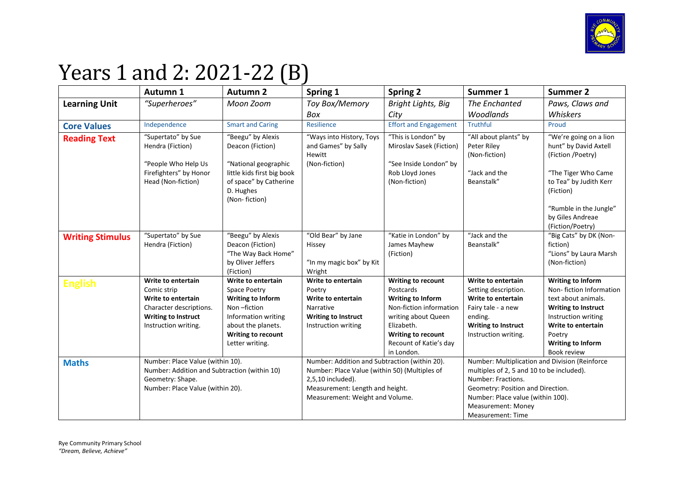

## Years 1 and 2: 2021-22 (B)

|                         | Autumn 1                                                                                                                                 | <b>Autumn 2</b>                                                                                                                                                     | Spring 1                                                                                                                                                                                  | <b>Spring 2</b>                                                                                                                                                                    | Summer 1                                                                                                                                                                                                                               | <b>Summer 2</b>                                                                                                                                                                                            |
|-------------------------|------------------------------------------------------------------------------------------------------------------------------------------|---------------------------------------------------------------------------------------------------------------------------------------------------------------------|-------------------------------------------------------------------------------------------------------------------------------------------------------------------------------------------|------------------------------------------------------------------------------------------------------------------------------------------------------------------------------------|----------------------------------------------------------------------------------------------------------------------------------------------------------------------------------------------------------------------------------------|------------------------------------------------------------------------------------------------------------------------------------------------------------------------------------------------------------|
| <b>Learning Unit</b>    | "Superheroes"                                                                                                                            | Moon Zoom                                                                                                                                                           | Toy Box/Memory                                                                                                                                                                            | <b>Bright Lights, Big</b>                                                                                                                                                          | The Enchanted                                                                                                                                                                                                                          | Paws, Claws and                                                                                                                                                                                            |
|                         |                                                                                                                                          |                                                                                                                                                                     | Box                                                                                                                                                                                       | City                                                                                                                                                                               | Woodlands                                                                                                                                                                                                                              | Whiskers                                                                                                                                                                                                   |
| <b>Core Values</b>      | Independence                                                                                                                             | <b>Smart and Caring</b>                                                                                                                                             | Resilience                                                                                                                                                                                | <b>Effort and Engagement</b>                                                                                                                                                       | <b>Truthful</b>                                                                                                                                                                                                                        | Proud                                                                                                                                                                                                      |
| <b>Reading Text</b>     | "Supertato" by Sue<br>Hendra (Fiction)<br>"People Who Help Us<br>Firefighters" by Honor<br>Head (Non-fiction)                            | "Beegu" by Alexis<br>Deacon (Fiction)<br>"National geographic<br>little kids first big book<br>of space" by Catherine<br>D. Hughes<br>(Non-fiction)                 | "Ways into History, Toys<br>and Games" by Sally<br>Hewitt<br>(Non-fiction)                                                                                                                | "This is London" by<br>Miroslav Sasek (Fiction)<br>"See Inside London" by<br>Rob Lloyd Jones<br>(Non-fiction)                                                                      | "All about plants" by<br>Peter Riley<br>(Non-fiction)<br>"Jack and the<br>Beanstalk"                                                                                                                                                   | "We're going on a lion<br>hunt" by David Axtell<br>(Fiction /Poetry)<br>"The Tiger Who Came<br>to Tea" by Judith Kerr<br>(Fiction)<br>"Rumble in the Jungle"<br>by Giles Andreae                           |
| <b>Writing Stimulus</b> | "Supertato" by Sue<br>Hendra (Fiction)                                                                                                   | "Beegu" by Alexis<br>Deacon (Fiction)<br>"The Way Back Home"<br>by Oliver Jeffers<br>(Fiction)                                                                      | "Old Bear" by Jane<br>Hissey<br>"In my magic box" by Kit<br>Wright                                                                                                                        | "Katie in London" by<br>James Mayhew<br>(Fiction)                                                                                                                                  | "Jack and the<br>Beanstalk"                                                                                                                                                                                                            | (Fiction/Poetry)<br>"Big Cats" by DK (Non-<br>fiction)<br>"Lions" by Laura Marsh<br>(Non-fiction)                                                                                                          |
| <b>English</b>          | Write to entertain<br>Comic strip<br>Write to entertain<br>Character descriptions.<br><b>Writing to Instruct</b><br>Instruction writing. | Write to entertain<br>Space Poetry<br><b>Writing to Inform</b><br>Non-fiction<br>Information writing<br>about the planets.<br>Writing to recount<br>Letter writing. | Write to entertain<br>Poetry<br>Write to entertain<br>Narrative<br><b>Writing to Instruct</b><br>Instruction writing                                                                      | Writing to recount<br>Postcards<br>Writing to Inform<br>Non-fiction information<br>writing about Queen<br>Elizabeth.<br>Writing to recount<br>Recount of Katie's day<br>in London. | Write to entertain<br>Setting description.<br>Write to entertain<br>Fairy tale - a new<br>ending.<br><b>Writing to Instruct</b><br>Instruction writing.                                                                                | <b>Writing to Inform</b><br>Non-fiction Information<br>text about animals.<br><b>Writing to Instruct</b><br>Instruction writing<br>Write to entertain<br>Poetry<br><b>Writing to Inform</b><br>Book review |
| <b>Maths</b>            | Number: Place Value (within 10).<br>Number: Addition and Subtraction (within 10)<br>Geometry: Shape.<br>Number: Place Value (within 20). |                                                                                                                                                                     | Number: Addition and Subtraction (within 20).<br>Number: Place Value (within 50) (Multiples of<br>2,5,10 included).<br>Measurement: Length and height.<br>Measurement: Weight and Volume. |                                                                                                                                                                                    | Number: Multiplication and Division (Reinforce<br>multiples of 2, 5 and 10 to be included).<br>Number: Fractions.<br>Geometry: Position and Direction.<br>Number: Place value (within 100).<br>Measurement: Money<br>Measurement: Time |                                                                                                                                                                                                            |